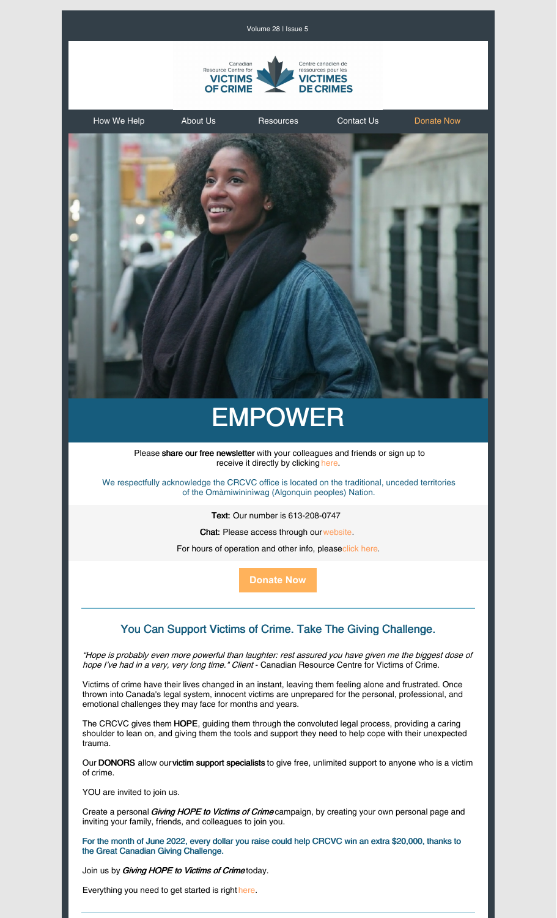

Volume 28 | Issue 5

[How](https://crcvc.ca/how-we-help/) We Help [About](https://crcvc.ca/about-us/) Us [Resources](https://crcvc.ca/resources/) [Contact](https://crcvc.ca/contact-us/) Us [Donate](https://crcvc.ca/donate/) Now

# EMPOWER

Please share our free newsletter with your colleagues and friends or sign up to receive it directly by clicking [here.](https://crcvc.ca/newsletter/)

We respectfully acknowledge the CRCVC office is located on the traditional, unceded territories of the Omàmiwininìwag (Algonquin peoples) Nation.

Text: Our number is 613-208-0747

Chat: Please access through ou[rwebsite](https://crcvc.ca/).

For hours of operation and other info, pleas[eclick](https://crcvc.ca/contact-us/) here.

**[Donate](https://crcvc.ca/donate/) Now**

## You Can Support Victims of Crime. Take The Giving Challenge.

"Hope is probably even more powerful than laughter: rest assured you have given me the biggest dose of hope I've had in a very, very long time." Client - Canadian Resource Centre for Victims of Crime.

Victims of crime have their lives changed in an instant, leaving them feeling alone and frustrated. Once thrown into Canada's legal system, innocent victims are unprepared for the personal, professional, and emotional challenges they may face for months and years.

The CRCVC gives them HOPE, guiding them through the convoluted legal process, providing a caring shoulder to lean on, and giving them the tools and support they need to help cope with their unexpected trauma.

Our DONORS allow ourvictim support specialists to give free, unlimited support to anyone who is a victim of crime.

YOU are invited to join us.

Create a personal *Giving HOPE to Victims of Crime* campaign, by creating your own personal page and inviting your family, friends, and colleagues to join you.

For the month of June 2022, every dollar you raise could help CRCVC win an extra \$20,000, thanks to the Great Canadian Giving Challenge.

Join us by Giving HOPE to Victims of Crimetoday.

Everything you need to get started is right [here.](https://www.canadahelps.org/en/charities/Canadian-Resource-Centre-for-Victims-of-Crime/p2p/giving-hope-victims-crime)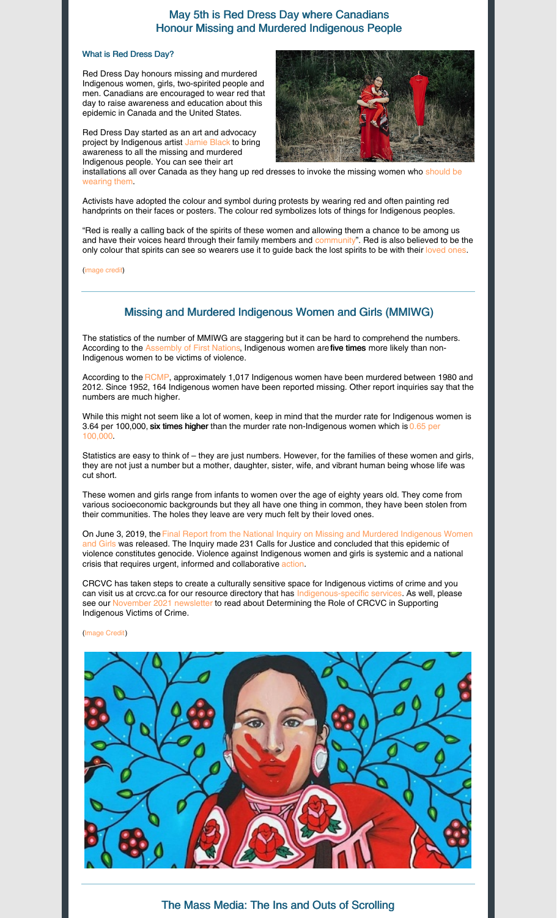## May 5th is Red Dress Day where Canadians Honour Missing and Murdered Indigenous People

#### What is Red Dress Day?

Red Dress Day honours missing and murdered Indigenous women, girls, two-spirited people and men. Canadians are encouraged to wear red that day to raise awareness and education about this epidemic in Canada and the United States.

Red Dress Day started as an art and advocacy project by Indigenous artist [Jamie](https://www.jaimeblackartist.com/exhibitions/) Black to bring awareness to all the missing and murdered Indigenous people. You can see their art



[installations](https://wanuskewin.com/visit/events-calendar/sold-out-wanuskewin-workshops-red-dress-beading-project-thursday-may-5/) all over Canada as they hang up red dresses to invoke the missing women who should be wearing them[.](https://wanuskewin.com/visit/events-calendar/sold-out-wanuskewin-workshops-red-dress-beading-project-thursday-may-5/)

Activists have adopted the colour and symbol during protests by wearing red and often painting red handprints on their faces or posters. The colour red symbolizes lots of things for Indigenous peoples.

"Red is really a calling back of the spirits of these women and allowing them a chance to be among us and have their voices heard through their family members and [community"](https://www.vogue.com/article/jaime-black-red-dress-project-missing-murdered-indigenous-women). Red is also believed to be the only colou[r](https://www.vogue.com/article/jaime-black-red-dress-project-missing-murdered-indigenous-women) that spirits can see so wearers use it to guide back the lost spirits to be with their [loved](https://www.vogue.com/article/jaime-black-red-dress-project-missing-murdered-indigenous-women) ones.

[\(image](https://www.aptnnews.ca/national-news/indigenous-beaders-are-buying-billboards-and-online-ads-to-help-find-missing-women-and-girls/) credit)

## Missing and Murdered Indigenous Women and Girls (MMIWG)

The statistics of the number of MMIWG are staggering but it can be hard to comprehend the numbers. According to the [Assembly](https://www.afn.ca/policy-sectors/mmiwg-end-violence/) of First Nations, Indigenous women are five times more likely than non-Indigenous women to be victims of violence.

According to the [RCMP](https://www.afn.ca/policy-sectors/mmiwg-end-violence/), approximately 1,017 Indigenous women have been murdered between 1980 and 2012. Since 1952, 164 Indigenous women have been reported missing. Other report inquiries say that the numbers are much higher.

While this might not seem like a lot of women, keep in mind that the murder rate for Indigenous women is 3.64 per 100,000, six times higher than the murder rate [non-Indigenous](https://www.justice.gc.ca/eng/rp-pr/jr/jf-pf/2017/july04.html) women which is 0.65 per 100,00[0.](https://www.justice.gc.ca/eng/rp-pr/jr/jf-pf/2017/july04.html)

Statistics are easy to think of – they are just numbers. However, for the families of these women and girls, they are not just a number but a mother, daughter, sister, wife, and vibrant human being whose life was cut short.

These women and girls range from infants to women over the age of eighty years old. They come from various socioeconomic backgrounds but they all have one thing in common, they have been stolen from their communities. The holes they leave are very much felt by their loved ones.

On June 3, 2019, the Final Report from the National Inquiry on Missing and Murdered [Indigenous](https://www.mmiwg-ffada.ca/wp-content/uploads/2019/06/Final_Report_Vol_2_Quebec_Report-1.pdf) Women Girls was released. The Inquiry made 231 Calls for Justice and concluded that this epidemic of violence constitutes genocide. Violence against Indigenous women and girls is systemic and a national crisis that requires urgent, informed and collaborative [action.](https://www.afn.ca/policy-sectors/mmiwg-end-violence/)

CRCVC has taken steps to create a culturally sensitive space for Indigenous victims of crime and you can visit us at crcvc.ca for our resource directory that has [Indigenous-specific](https://crcvc.ca/resources/resource-directory/) services[.](https://crcvc.ca/resources/resource-directory/) As well, please see our [November](https://crcvc.ca/wp-content/uploads/2021/12/November-2021-Newsletter.pdf) 2021 newsletter to read about Determining the Role of CRCVC in Supporting Indigenous Victims of Crime.

#### [\(Image](https://video-images.vice.com/articles/609596424db9ec0095aa09f4/lede/1620417963432-screen-shot-2021-05-07-at-10530-pm.png?crop=0.8767xw:0.698xh;0.0594xw,0.0582xh&resize=640:*) Credit)



The Mass Media: The Ins and Outs of Scrolling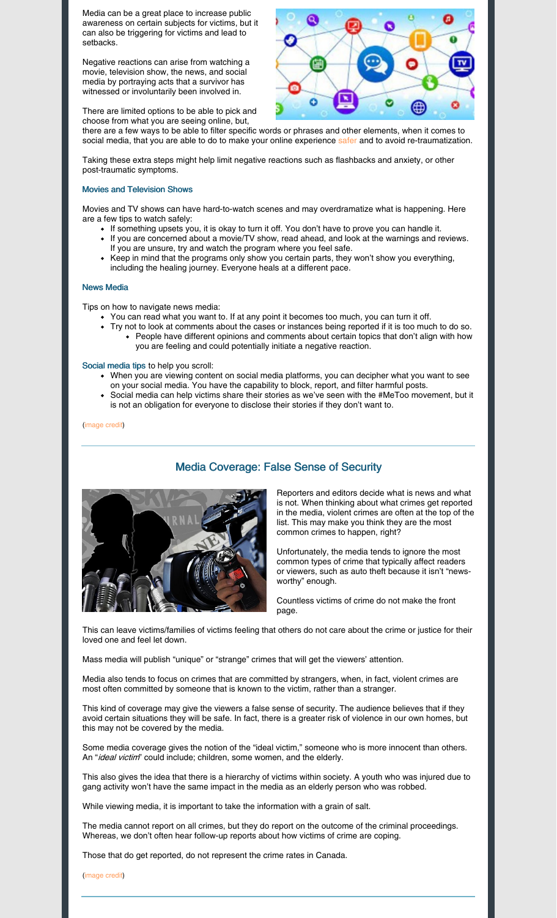Media can be a great place to increase public awareness on certain subjects for victims, but it can also be triggering for victims and lead to setbacks.

Negative reactions can arise from watching a movie, television show, the news, and social media by portraying acts that a survivor has witnessed or involuntarily been involved in.

There are limited options to be able to pick and choose from what you are seeing online, but,



there are a few ways to be able to filter specific words or phrases and other elements, when it comes to social m[e](https://www.rainn.org/articles/how-filter-block-and-report-harmful-content-social-media)dia, that you are able to do to make your online experience [safer](https://www.rainn.org/articles/how-filter-block-and-report-harmful-content-social-media) and to avoid re-traumatization.

Taking these extra steps might help limit negative reactions such as flashbacks and anxiety, or other post-traumatic symptoms.

#### Movies and Television Shows

Movies and TV shows can have hard-to-watch scenes and may overdramatize what is happening. Here are a few tips to watch safely:

- If something upsets you, it is okay to turn it off. You don't have to prove you can handle it.
- If you are concerned about a movie/TV show, read ahead, and look at the warnings and reviews. If you are unsure, try and watch the program where you feel safe.
- Keep in mind that the programs only show you certain parts, they won't show you everything, including the healing journey. Everyone heals at a different pace.

#### News Media

Tips on how to navigate news media:

- You can read what you want to. If at any point it becomes too much, you can turn it off.
	- Try not to look at comments about the cases or instances being reported if it is too much to do so. People have different opinions and comments about certain topics that don't align with how you are feeling and could potentially initiate a negative reaction.

#### Social media tips to help you scroll:

- When you are viewing content on social media platforms, you can decipher what you want to see on your social media. You have the capability to block, report, and filter harmful posts.
- Social media can help victims share their stories as we've seen with the #MeToo movement, but it is not an obligation for everyone to disclose their stories if they don't want to.

[\(image](https://www.thoughtco.com/mass-media-and-communication-4177301) credi[t\)](https://www.thoughtco.com/mass-media-and-communication-4177301)



## Media Coverage: False Sense of Security

Reporters and editors decide what is news and what is not. When thinking about what crimes get reported in the media, violent crimes are often at the top of the list. This may make you think they are the most common crimes to happen, right?

Unfortunately, the media tends to ignore the most common types of crime that typically affect readers or viewers, such as auto theft because it isn't "newsworthy" enough.

Countless victims of crime do not make the front page.

This can leave victims/families of victims feeling that others do not care about the crime or justice for their loved one and feel let down.

Mass media will publish "unique" or "strange" crimes that will get the viewers' attention.

Media also tends to focus on crimes that are committed by strangers, when, in fact, violent crimes are most often committed by someone that is known to the victim, rather than a stranger.

This kind of coverage may give the viewers a false sense of security. The audience believes that if they avoid certain situations they will be safe. In fact, there is a greater risk of violence in our own homes, but this may not be covered by the media.

Some media coverage gives the notion of the "ideal victim," someone who is more innocent than others. An "ideal victim" could include; children, some women, and the elderly.

This also gives the idea that there is a hierarchy of victims within society. A youth who was injured due to gang activity won't have the same impact in the media as an elderly person who was robbed.

While viewing media, it is important to take the information with a grain of salt.

The media cannot report on all crimes, but they do report on the outcome of the criminal proceedings. Whereas, we don't often hear follow-up reports about how victims of crime are coping.

Those that do get reported, do not represent the crime rates in Canada.

[\(image](https://www.thenewsminute.com/article/little-coverage-unethical-reporting-media-handling-commercial-sexual-exploitation-80100) credi[t\)](https://www.thenewsminute.com/article/little-coverage-unethical-reporting-media-handling-commercial-sexual-exploitation-80100)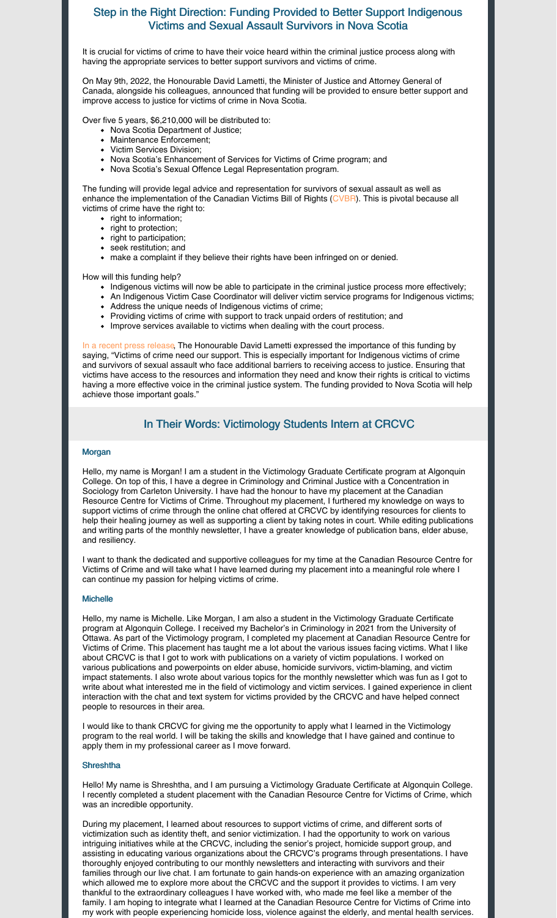## Step in the Right Direction: Funding Provided to Better Support Indigenous Victims and Sexual Assault Survivors in Nova Scotia

It is crucial for victims of crime to have their voice heard within the criminal justice process along with having the appropriate services to better support survivors and victims of crime.

On May 9th, 2022, the Honourable David Lametti, the Minister of Justice and Attorney General of Canada, alongside his colleagues, announced that funding will be provided to ensure better support and improve access to justice for victims of crime in Nova Scotia.

Over five 5 years, \$6,210,000 will be distributed to:

- Nova Scotia Department of Justice;
- Maintenance Enforcement;
- Victim Services Division;
- Nova Scotia's Enhancement of Services for Victims of Crime program; and
- Nova Scotia's Sexual Offence Legal Representation program.

The funding will provide legal advice and representation for survivors of sexual assault as well as enhance the implementation of the Canadian Victims Bill of Rights [\(CVBR](https://victimsfirst.gc.ca/serv/vrc-dvc.html)). This is pivotal because all victims of crime have the right to:

- right to information;
- right to protection;
- right to participation;
- seek restitution; and
- make a complaint if they believe their rights have been infringed on or denied.

How will this funding help?

- Indigenous victims will now be able to participate in the criminal justice process more effectively;
- An Indigenous Victim Case Coordinator will deliver victim service programs for Indigenous victims;
- Address the unique needs of Indigenous victims of crime;
- Providing victims of crime with support to track unpaid orders of restitution; and
- Improve services available to victims when dealing with the court process.

In a recent press [release,](https://www.newswire.ca/news-releases/victims-of-crime-in-nova-scotia-including-indigenous-victims-and-sexual-assault-survivors-gaining-a-stronger-voice-in-the-criminal-justice-system-government-of-canada-providing-6-21m-in-funding-899339067.html) The Honourable David Lametti expressed the importance of this funding by saying, "Victims of crime need our support. This is especially important for Indigenous victims of crime and survivors of sexual assault who face additional barriers to receiving access to justice. Ensuring that victims have access to the resources and information they need and know their rights is critical to victims having a more effective voice in the criminal justice system. The funding provided to Nova Scotia will help achieve those important goals."

## In Their Words: Victimology Students Intern at CRCVC

#### **Morgan**

Hello, my name is Morgan! I am a student in the Victimology Graduate Certificate program at Algonquin College. On top of this, I have a degree in Criminology and Criminal Justice with a Concentration in Sociology from Carleton University. I have had the honour to have my placement at the Canadian Resource Centre for Victims of Crime. Throughout my placement, I furthered my knowledge on ways to support victims of crime through the online chat offered at CRCVC by identifying resources for clients to help their healing journey as well as supporting a client by taking notes in court. While editing publications and writing parts of the monthly newsletter, I have a greater knowledge of publication bans, elder abuse, and resiliency.

I want to thank the dedicated and supportive colleagues for my time at the Canadian Resource Centre for Victims of Crime and will take what I have learned during my placement into a meaningful role where I can continue my passion for helping victims of crime.

#### **Michelle**

Hello, my name is Michelle. Like Morgan, I am also a student in the Victimology Graduate Certificate program at Algonquin College. I received my Bachelor's in Criminology in 2021 from the University of Ottawa. As part of the Victimology program, I completed my placement at Canadian Resource Centre for Victims of Crime. This placement has taught me a lot about the various issues facing victims. What I like about CRCVC is that I got to work with publications on a variety of victim populations. I worked on various publications and powerpoints on elder abuse, homicide survivors, victim-blaming, and victim impact statements. I also wrote about various topics for the monthly newsletter which was fun as I got to write about what interested me in the field of victimology and victim services. I gained experience in client interaction with the chat and text system for victims provided by the CRCVC and have helped connect people to resources in their area.

I would like to thank CRCVC for giving me the opportunity to apply what I learned in the Victimology program to the real world. I will be taking the skills and knowledge that I have gained and continue to apply them in my professional career as I move forward.

#### **Shreshtha**

Hello! My name is Shreshtha, and I am pursuing a Victimology Graduate Certificate at Algonquin College. I recently completed a student placement with the Canadian Resource Centre for Victims of Crime, which was an incredible opportunity.

During my placement, I learned about resources to support victims of crime, and different sorts of victimization such as identity theft, and senior victimization. I had the opportunity to work on various intriguing initiatives while at the CRCVC, including the senior's project, homicide support group, and assisting in educating various organizations about the CRCVC's programs through presentations. I have thoroughly enjoyed contributing to our monthly newsletters and interacting with survivors and their families through our live chat. I am fortunate to gain hands-on experience with an amazing organization which allowed me to explore more about the CRCVC and the support it provides to victims. I am very thankful to the extraordinary colleagues I have worked with, who made me feel like a member of the family. I am hoping to integrate what I learned at the Canadian Resource Centre for Victims of Crime into my work with people experiencing homicide loss, violence against the elderly, and mental health services.